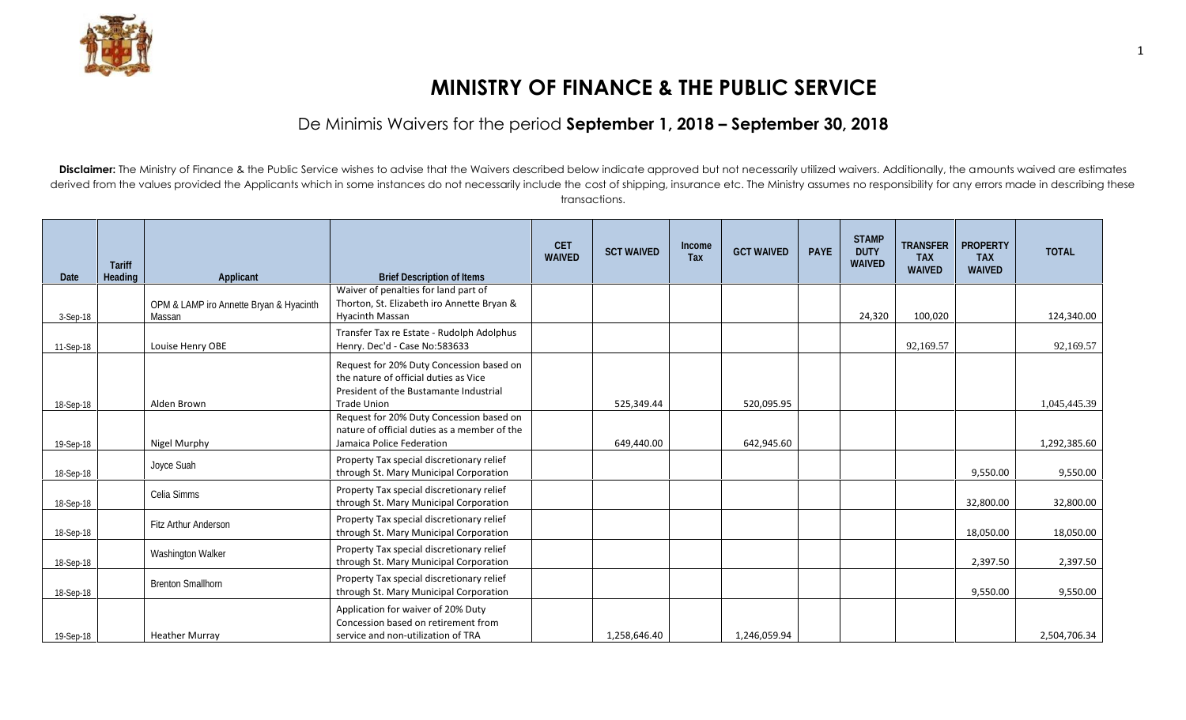

## **MINISTRY OF FINANCE & THE PUBLIC SERVICE**

## De Minimis Waivers for the period **September 1, 2018 – September 30, 2018**

Disclaimer: The Ministry of Finance & the Public Service wishes to advise that the Waivers described below indicate approved but not necessarily utilized waivers. Additionally, the amounts waived are estimates derived from the values provided the Applicants which in some instances do not necessarily include the cost of shipping, insurance etc. The Ministry assumes no responsibility for any errors made in describing these transactions.

| Date      | <b>Tariff</b><br><b>Heading</b> | <b>Applicant</b>                                  | <b>Brief Description of Items</b>                                                                                                                 | <b>CET</b><br><b>WAIVED</b> | <b>SCT WAIVED</b> | Income<br><b>Tax</b> | <b>GCT WAIVED</b> | <b>PAYE</b> | <b>STAMP</b><br><b>DUTY</b><br><b>WAIVED</b> | <b>TRANSFER</b><br><b>TAX</b><br><b>WAIVED</b> | <b>PROPERTY</b><br><b>TAX</b><br><b>WAIVED</b> | <b>TOTAL</b> |
|-----------|---------------------------------|---------------------------------------------------|---------------------------------------------------------------------------------------------------------------------------------------------------|-----------------------------|-------------------|----------------------|-------------------|-------------|----------------------------------------------|------------------------------------------------|------------------------------------------------|--------------|
| 3-Sep-18  |                                 | OPM & LAMP iro Annette Bryan & Hyacinth<br>Massan | Waiver of penalties for land part of<br>Thorton, St. Elizabeth iro Annette Bryan &<br><b>Hyacinth Massan</b>                                      |                             |                   |                      |                   |             | 24,320                                       | 100,020                                        |                                                | 124,340.00   |
| 11-Sep-18 |                                 | Louise Henry OBE                                  | Transfer Tax re Estate - Rudolph Adolphus<br>Henry. Dec'd - Case No:583633                                                                        |                             |                   |                      |                   |             |                                              | 92,169.57                                      |                                                | 92,169.57    |
| 18-Sep-18 |                                 | Alden Brown                                       | Request for 20% Duty Concession based on<br>the nature of official duties as Vice<br>President of the Bustamante Industrial<br><b>Trade Union</b> |                             | 525,349.44        |                      | 520.095.95        |             |                                              |                                                |                                                | 1.045.445.39 |
| 19-Sep-18 |                                 | Nigel Murphy                                      | Request for 20% Duty Concession based on<br>nature of official duties as a member of the<br>Jamaica Police Federation                             |                             | 649,440.00        |                      | 642,945.60        |             |                                              |                                                |                                                | 1,292,385.60 |
| 18-Sep-18 |                                 | Joyce Suah                                        | Property Tax special discretionary relief<br>through St. Mary Municipal Corporation                                                               |                             |                   |                      |                   |             |                                              |                                                | 9,550.00                                       | 9,550.00     |
| 18-Sep-18 |                                 | Celia Simms                                       | Property Tax special discretionary relief<br>through St. Mary Municipal Corporation                                                               |                             |                   |                      |                   |             |                                              |                                                | 32,800.00                                      | 32,800.00    |
| 18-Sep-18 |                                 | Fitz Arthur Anderson                              | Property Tax special discretionary relief<br>through St. Mary Municipal Corporation                                                               |                             |                   |                      |                   |             |                                              |                                                | 18,050.00                                      | 18,050.00    |
| 18-Sep-18 |                                 | <b>Washington Walker</b>                          | Property Tax special discretionary relief<br>through St. Mary Municipal Corporation                                                               |                             |                   |                      |                   |             |                                              |                                                | 2,397.50                                       | 2,397.50     |
| 18-Sep-18 |                                 | <b>Brenton Smallhorn</b>                          | Property Tax special discretionary relief<br>through St. Mary Municipal Corporation                                                               |                             |                   |                      |                   |             |                                              |                                                | 9,550.00                                       | 9,550.00     |
| 19-Sep-18 |                                 | <b>Heather Murray</b>                             | Application for waiver of 20% Duty<br>Concession based on retirement from<br>service and non-utilization of TRA                                   |                             | 1,258,646.40      |                      | 1,246,059.94      |             |                                              |                                                |                                                | 2,504,706.34 |